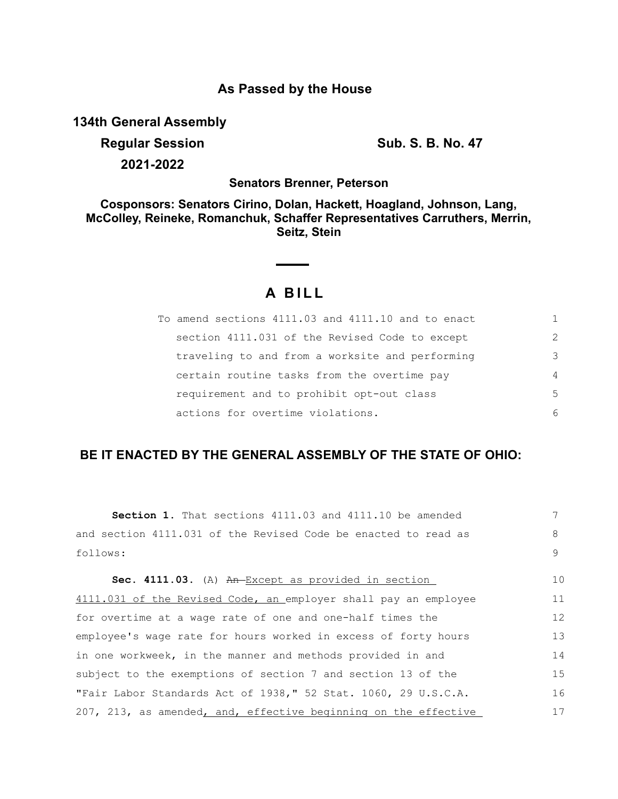## **As Passed by the House**

**134th General Assembly**

**Regular Session Sub. S. B. No. 47 Sub. S. B. No. 47 2021-2022**

**Senators Brenner, Peterson**

**Cosponsors: Senators Cirino, Dolan, Hackett, Hoagland, Johnson, Lang, McColley, Reineke, Romanchuk, Schaffer Representatives Carruthers, Merrin, Seitz, Stein**

## **A BILL**

| To amend sections 4111.03 and 4111.10 and to enact |                |
|----------------------------------------------------|----------------|
| section 4111.031 of the Revised Code to except     | $\mathcal{L}$  |
| traveling to and from a worksite and performing    | 3              |
| certain routine tasks from the overtime pay        | $\overline{4}$ |
| requirement and to prohibit opt-out class          | .5             |
| actions for overtime violations.                   | 6              |

## **BE IT ENACTED BY THE GENERAL ASSEMBLY OF THE STATE OF OHIO:**

| Section 1. That sections 4111.03 and 4111.10 be amended         |    |
|-----------------------------------------------------------------|----|
| and section 4111.031 of the Revised Code be enacted to read as  | 8  |
| follows:                                                        | 9  |
| <b>Sec. 4111.03.</b> (A) An-Except as provided in section       | 10 |
| 4111.031 of the Revised Code, an employer shall pay an employee | 11 |
| for overtime at a wage rate of one and one-half times the       | 12 |
| employee's wage rate for hours worked in excess of forty hours  | 13 |
| in one workweek, in the manner and methods provided in and      | 14 |
| subject to the exemptions of section 7 and section 13 of the    | 15 |
| "Fair Labor Standards Act of 1938," 52 Stat. 1060, 29 U.S.C.A.  | 16 |
| 207, 213, as amended, and, effective beginning on the effective | 17 |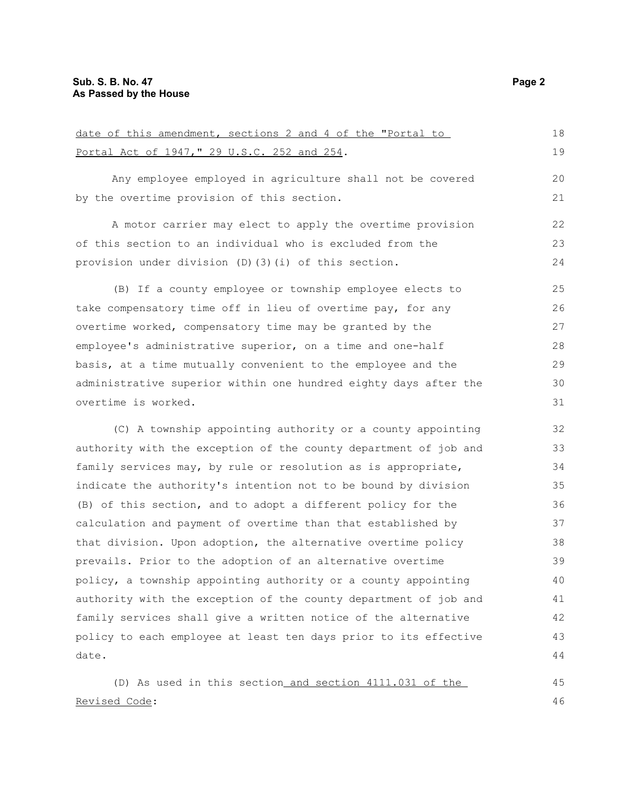| date of this amendment, sections 2 and 4 of the "Portal to       |    |
|------------------------------------------------------------------|----|
| Portal Act of 1947, " 29 U.S.C. 252 and 254.                     | 19 |
| Any employee employed in agriculture shall not be covered        | 20 |
| by the overtime provision of this section.                       | 21 |
| A motor carrier may elect to apply the overtime provision        | 22 |
| of this section to an individual who is excluded from the        | 23 |
| provision under division (D) (3) (i) of this section.            | 24 |
| (B) If a county employee or township employee elects to          | 25 |
| take compensatory time off in lieu of overtime pay, for any      | 26 |
| overtime worked, compensatory time may be granted by the         | 27 |
| employee's administrative superior, on a time and one-half       | 28 |
| basis, at a time mutually convenient to the employee and the     | 29 |
| administrative superior within one hundred eighty days after the | 30 |
| overtime is worked.                                              | 31 |
| (C) A township appointing authority or a county appointing       | 32 |
| authority with the exception of the county department of job and | 33 |
| family services may, by rule or resolution as is appropriate,    | 34 |
| indicate the authority's intention not to be bound by division   | 35 |
| (B) of this section, and to adopt a different policy for the     | 36 |
| calculation and payment of overtime than that established by     | 37 |
| that division. Upon adoption, the alternative overtime policy    | 38 |
| prevails. Prior to the adoption of an alternative overtime       | 39 |
| policy, a township appointing authority or a county appointing   | 40 |
| authority with the exception of the county department of job and | 41 |
| family services shall give a written notice of the alternative   | 42 |

policy to each employee at least ten days prior to its effective

(D) As used in this section and section 4111.031 of the

45 46

42 43 44

Revised Code:

date.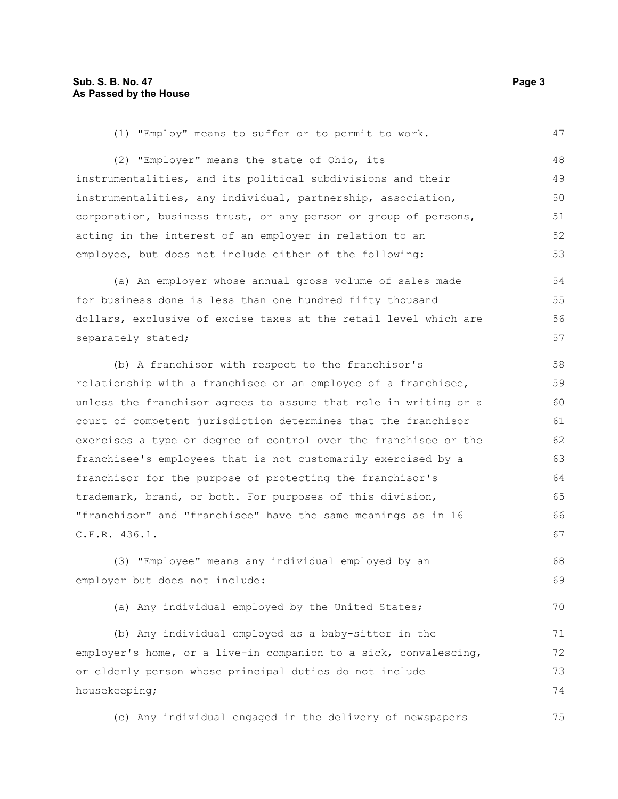(1) "Employ" means to suffer or to permit to work. 47

(2) "Employer" means the state of Ohio, its instrumentalities, and its political subdivisions and their instrumentalities, any individual, partnership, association, corporation, business trust, or any person or group of persons, acting in the interest of an employer in relation to an employee, but does not include either of the following: 48 49 50 51 52 53

(a) An employer whose annual gross volume of sales made for business done is less than one hundred fifty thousand dollars, exclusive of excise taxes at the retail level which are separately stated; 54 55 56 57

(b) A franchisor with respect to the franchisor's relationship with a franchisee or an employee of a franchisee, unless the franchisor agrees to assume that role in writing or a court of competent jurisdiction determines that the franchisor exercises a type or degree of control over the franchisee or the franchisee's employees that is not customarily exercised by a franchisor for the purpose of protecting the franchisor's trademark, brand, or both. For purposes of this division, "franchisor" and "franchisee" have the same meanings as in 16 C.F.R. 436.1. 58 59 60 61 62 63 64 65 66 67

(3) "Employee" means any individual employed by an employer but does not include: 68 69

(a) Any individual employed by the United States;

(b) Any individual employed as a baby-sitter in the employer's home, or a live-in companion to a sick, convalescing, or elderly person whose principal duties do not include housekeeping;

(c) Any individual engaged in the delivery of newspapers

70

75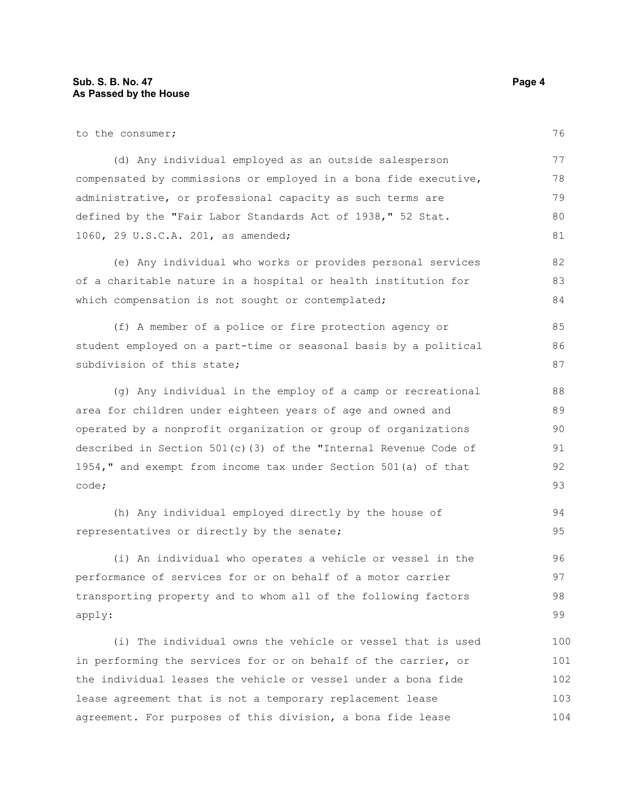to the consumer; (d) Any individual employed as an outside salesperson compensated by commissions or employed in a bona fide executive, administrative, or professional capacity as such terms are defined by the "Fair Labor Standards Act of 1938," 52 Stat. 1060, 29 U.S.C.A. 201, as amended; (e) Any individual who works or provides personal services of a charitable nature in a hospital or health institution for which compensation is not sought or contemplated; (f) A member of a police or fire protection agency or student employed on a part-time or seasonal basis by a political subdivision of this state;

(g) Any individual in the employ of a camp or recreational area for children under eighteen years of age and owned and operated by a nonprofit organization or group of organizations described in Section 501(c)(3) of the "Internal Revenue Code of 1954," and exempt from income tax under Section 501(a) of that code;

(h) Any individual employed directly by the house of representatives or directly by the senate; 94 95

(i) An individual who operates a vehicle or vessel in the performance of services for or on behalf of a motor carrier transporting property and to whom all of the following factors apply:

(i) The individual owns the vehicle or vessel that is used in performing the services for or on behalf of the carrier, or the individual leases the vehicle or vessel under a bona fide lease agreement that is not a temporary replacement lease agreement. For purposes of this division, a bona fide lease 100 101 102 103 104

76

82 83 84

85 86 87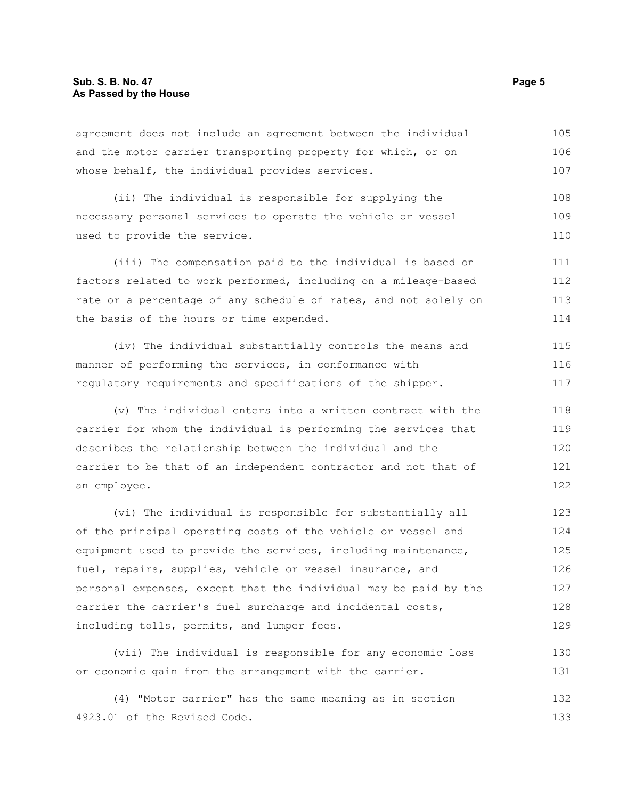agreement does not include an agreement between the individual and the motor carrier transporting property for which, or on whose behalf, the individual provides services. 105 106 107

(ii) The individual is responsible for supplying the necessary personal services to operate the vehicle or vessel used to provide the service. 108 109 110

(iii) The compensation paid to the individual is based on factors related to work performed, including on a mileage-based rate or a percentage of any schedule of rates, and not solely on the basis of the hours or time expended. 111 112 113 114

(iv) The individual substantially controls the means and manner of performing the services, in conformance with regulatory requirements and specifications of the shipper. 115 116 117

(v) The individual enters into a written contract with the carrier for whom the individual is performing the services that describes the relationship between the individual and the carrier to be that of an independent contractor and not that of an employee. 118 119 120 121 122

(vi) The individual is responsible for substantially all of the principal operating costs of the vehicle or vessel and equipment used to provide the services, including maintenance, fuel, repairs, supplies, vehicle or vessel insurance, and personal expenses, except that the individual may be paid by the carrier the carrier's fuel surcharge and incidental costs, including tolls, permits, and lumper fees. 123 124 125 126 127 128 129

(vii) The individual is responsible for any economic loss or economic gain from the arrangement with the carrier. 130 131

(4) "Motor carrier" has the same meaning as in section 4923.01 of the Revised Code. 132 133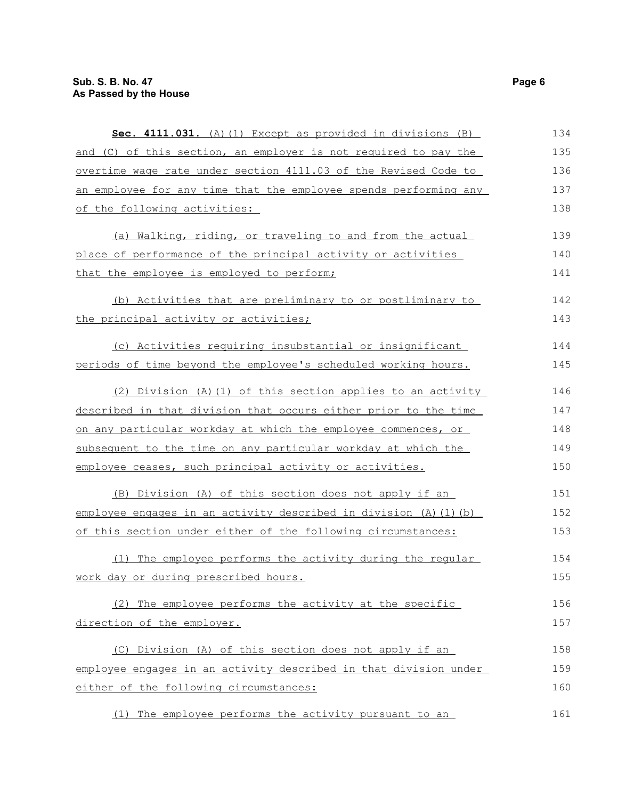| Sec. 4111.031. (A) (1) Except as provided in divisions (B)        | 134 |
|-------------------------------------------------------------------|-----|
| and (C) of this section, an employer is not required to pay the   | 135 |
| overtime wage rate under section 4111.03 of the Revised Code to   | 136 |
| an employee for any time that the employee spends performing any  | 137 |
| of the following activities:                                      | 138 |
| (a) Walking, riding, or traveling to and from the actual          | 139 |
| place of performance of the principal activity or activities      | 140 |
| that the employee is employed to perform;                         | 141 |
| (b) Activities that are preliminary to or postliminary to         | 142 |
| the principal activity or activities;                             | 143 |
| (c) Activities requiring insubstantial or insignificant           | 144 |
| periods of time beyond the employee's scheduled working hours.    | 145 |
| (2) Division (A) (1) of this section applies to an activity       | 146 |
| described in that division that occurs either prior to the time   | 147 |
| on any particular workday at which the employee commences, or     | 148 |
| subsequent to the time on any particular workday at which the     | 149 |
| employee ceases, such principal activity or activities.           | 150 |
| (B) Division (A) of this section does not apply if an             | 151 |
| employee engages in an activity described in division (A) (1) (b) | 152 |
| of this section under either of the following circumstances:      | 153 |
| (1) The employee performs the activity during the regular         | 154 |
| work day or during prescribed hours.                              | 155 |
| (2) The employee performs the activity at the specific            | 156 |
| direction of the employer.                                        | 157 |
| (C) Division (A) of this section does not apply if an             | 158 |
| employee engages in an activity described in that division under  | 159 |
| either of the following circumstances:                            | 160 |
| The employee performs the activity pursuant to an<br>(1)          | 161 |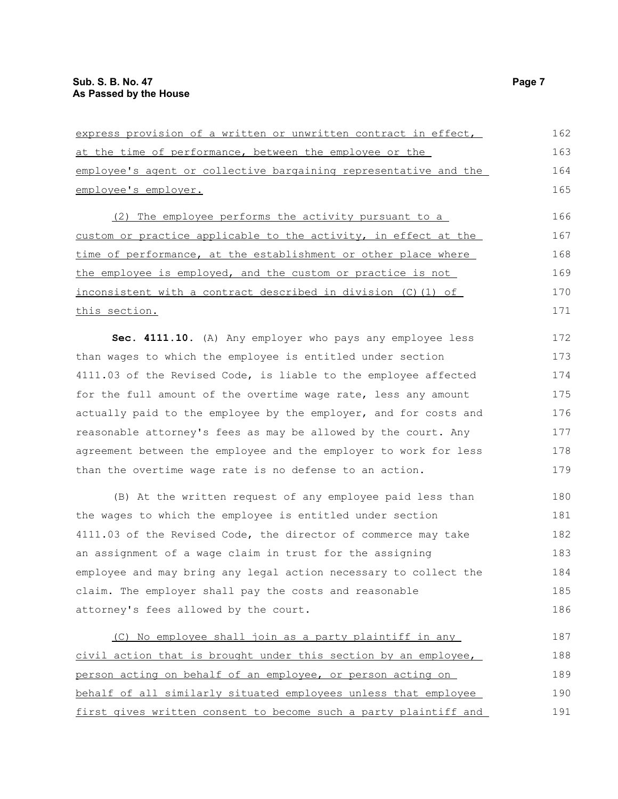| express provision of a written or unwritten contract in effect,  |     |
|------------------------------------------------------------------|-----|
| at the time of performance, between the employee or the          | 163 |
| employee's agent or collective bargaining representative and the |     |
| employee's employer.                                             | 165 |
| (2) The employee performs the activity pursuant to a             | 166 |
| custom or practice applicable to the activity, in effect at the  | 167 |
| time of performance, at the establishment or other place where   | 168 |
| the employee is employed, and the custom or practice is not      | 169 |
| inconsistent with a contract described in division (C)(1) of     | 170 |
| this section.                                                    | 171 |
| Sec. 4111.10. (A) Any employer who pays any employee less        | 172 |
| than wages to which the employee is entitled under section       | 173 |
| 4111.03 of the Revised Code, is liable to the employee affected  | 174 |
| for the full amount of the overtime wage rate, less any amount   | 175 |
| actually paid to the employee by the employer, and for costs and | 176 |
| reasonable attorney's fees as may be allowed by the court. Any   | 177 |
| agreement between the employee and the employer to work for less | 178 |
| than the overtime wage rate is no defense to an action.          | 179 |
| (B) At the written request of any employee paid less than        | 180 |
| the wages to which the employee is entitled under section        | 181 |
| 4111.03 of the Revised Code, the director of commerce may take   | 182 |
| an assignment of a wage claim in trust for the assigning         | 183 |
| employee and may bring any legal action necessary to collect the | 184 |
| claim. The employer shall pay the costs and reasonable           | 185 |
| attorney's fees allowed by the court.                            | 186 |
| (C) No employee shall join as a party plaintiff in any           | 187 |
| civil action that is brought under this section by an employee,  | 188 |
| person acting on behalf of an employee, or person acting on      | 189 |
| behalf of all similarly situated employees unless that employee  | 190 |
| first gives written consent to become such a party plaintiff and | 191 |